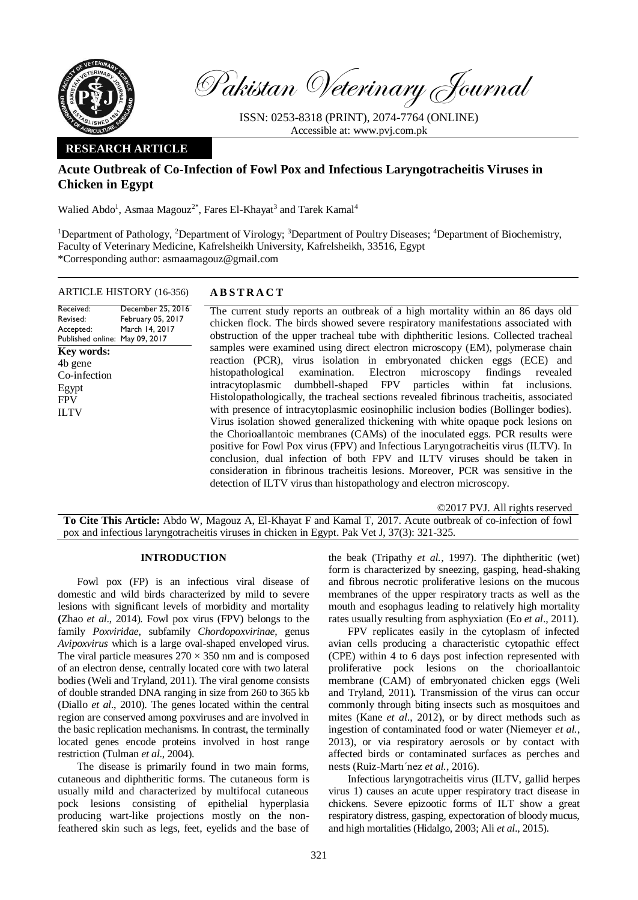

Received: Revised: Accepted:

**Key words:**  4b gene Co-infection Egypt FPV ILTV

Pakistan Veterinary Journal

ISSN: 0253-8318 (PRINT), 2074-7764 (ONLINE) Accessible at: [www.pvj.com.pk](http://www.pvj.com.pk/)

## **RESEARCH ARTICLE**

# **Acute Outbreak of Co-Infection of Fowl Pox and Infectious Laryngotracheitis Viruses in Chicken in Egypt**

Walied Abdo<sup>1</sup>, Asmaa Magouz<sup>2\*</sup>, Fares El-Khayat<sup>3</sup> and Tarek Kamal<sup>4</sup>

<sup>1</sup>Department of Pathology, <sup>2</sup>Department of Virology; <sup>3</sup>Department of Poultry Diseases; <sup>4</sup>Department of Biochemistry, Faculty of Veterinary Medicine, Kafrelsheikh University, Kafrelsheikh, 33516, Egypt \*Corresponding author: asmaamagouz@gmail.com

### ARTICLE HISTORY (16-356) **A B S T R A C T**

Published online: May 09, 2017 December 25, 2016 February 05, 2017 March 14, 2017 The current study reports an outbreak of a high mortality within an 86 days old chicken flock. The birds showed severe respiratory manifestations associated with obstruction of the upper tracheal tube with diphtheritic lesions. Collected tracheal samples were examined using direct electron microscopy (EM), polymerase chain reaction (PCR), virus isolation in embryonated chicken eggs (ECE) and histopathological examination. Electron microscopy findings revealed intracytoplasmic dumbbell-shaped FPV particles within fat inclusions. dumbbell-shaped FPV particles Histolopathologically, the tracheal sections revealed fibrinous tracheitis, associated with presence of intracytoplasmic eosinophilic inclusion bodies (Bollinger bodies). Virus isolation showed generalized thickening with white opaque pock lesions on the Chorioallantoic membranes (CAMs) of the inoculated eggs. PCR results were positive for Fowl Pox virus (FPV) and Infectious Laryngotracheitis virus (ILTV). In conclusion, dual infection of both FPV and ILTV viruses should be taken in consideration in fibrinous tracheitis lesions. Moreover, PCR was sensitive in the detection of ILTV virus than histopathology and electron microscopy.

©2017 PVJ. All rights reserved

**To Cite This Article:** Abdo W, Magouz A, El-Khayat F and Kamal T, 2017. Acute outbreak of co-infection of fowl pox and infectious laryngotracheitis viruses in chicken in Egypt. Pak Vet J, 37(3): 321-325.

### **INTRODUCTION**

Fowl pox (FP) is an infectious viral disease of domestic and wild birds characterized by mild to severe lesions with significant levels of morbidity and mortality **(**Zhao *et al*., 2014)*.* Fowl pox virus (FPV) belongs to the family *Poxviridae*, subfamily *Chordopoxvirinae*, genus *Avipoxvirus* which is a large oval-shaped enveloped virus. The viral particle measures  $270 \times 350$  nm and is composed of an electron dense, centrally located core with two lateral bodies (Weli and Tryland, 2011). The viral genome consists of double stranded DNA ranging in size from 260 to 365 kb (Diallo *et al*., 2010). The genes located within the central region are conserved among poxviruses and are involved in the basic replication mechanisms. In contrast, the terminally located genes encode proteins involved in host range restriction (Tulman *et al*., 2004).

The disease is primarily found in two main forms, cutaneous and diphtheritic forms. The cutaneous form is usually mild and characterized by multifocal cutaneous pock lesions consisting of epithelial hyperplasia producing wart-like projections mostly on the nonfeathered skin such as legs, feet, eyelids and the base of

the beak (Tripathy *et al.*, 1997). The diphtheritic (wet) form is characterized by sneezing, gasping, head-shaking and fibrous necrotic proliferative lesions on the mucous membranes of the upper respiratory tracts as well as the mouth and esophagus leading to relatively high mortality rates usually resulting from asphyxiation (Eo *et al*., 2011).

FPV replicates easily in the cytoplasm of infected avian cells producing a characteristic cytopathic effect (CPE) within 4 to 6 days post infection represented with proliferative pock lesions on the chorioallantoic membrane (CAM) of embryonated chicken eggs (Weli and Tryland, 2011)*.* Transmission of the virus can occur commonly through biting insects such as mosquitoes and mites (Kane *et al*., 2012), or by direct methods such as ingestion of contaminated food or water (Niemeyer *et al.*, 2013), or via respiratory aerosols or by contact with affected birds or contaminated surfaces as perches and nests (Ruiz-Martı´nez *et al.*, 2016).

Infectious laryngotracheitis virus (ILTV, gallid herpes virus 1) causes an acute upper respiratory tract disease in chickens. Severe epizootic forms of ILT show a great respiratory distress, gasping, expectoration of bloody mucus, and high mortalities (Hidalgo, 2003; Ali *et al*., 2015).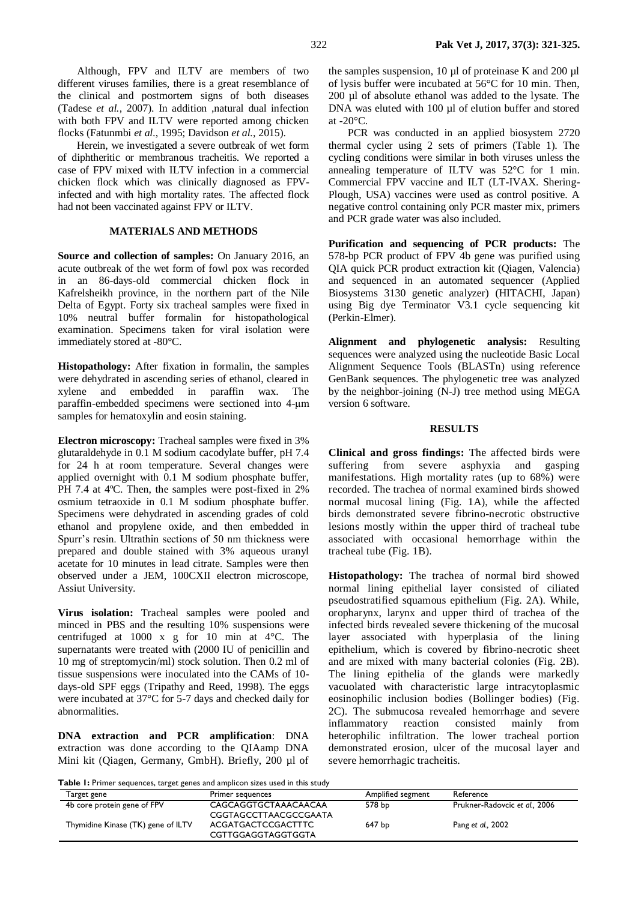Although, FPV and ILTV are members of two different viruses families, there is a great resemblance of the clinical and postmortem signs of both diseases (Tadese *et al.*, 2007). In addition ,natural dual infection with both FPV and ILTV were reported among chicken flocks (Fatunmbi *et al.*, 1995; Davidson *et al.*, 2015).

Herein, we investigated a severe outbreak of wet form of diphtheritic or membranous tracheitis. We reported a case of FPV mixed with ILTV infection in a commercial chicken flock which was clinically diagnosed as FPVinfected and with high mortality rates. The affected flock had not been vaccinated against FPV or ILTV.

### **MATERIALS AND METHODS**

**Source and collection of samples:** On January 2016, an acute outbreak of the wet form of fowl pox was recorded in an 86-days-old commercial chicken flock in Kafrelsheikh province, in the northern part of the Nile Delta of Egypt. Forty six tracheal samples were fixed in 10% neutral buffer formalin for histopathological examination. Specimens taken for viral isolation were immediately stored at -80°C.

**Histopathology:** After fixation in formalin, the samples were dehydrated in ascending series of ethanol, cleared in xylene and embedded in paraffin wax. The paraffin-embedded specimens were sectioned into 4-μm samples for hematoxylin and eosin staining.

**Electron microscopy:** Tracheal samples were fixed in 3% glutaraldehyde in 0.1 M sodium cacodylate buffer, pH 7.4 for 24 h at room temperature. Several changes were applied overnight with 0.1 M sodium phosphate buffer, PH 7.4 at 4°C. Then, the samples were post-fixed in 2% osmium tetraoxide in 0.1 M sodium phosphate buffer. Specimens were dehydrated in ascending grades of cold ethanol and propylene oxide, and then embedded in Spurr's resin. Ultrathin sections of 50 nm thickness were prepared and double stained with 3% aqueous uranyl acetate for 10 minutes in lead citrate. Samples were then observed under a JEM, 100CXII electron microscope, Assiut University.

**Virus isolation:** Tracheal samples were pooled and minced in PBS and the resulting 10% suspensions were centrifuged at 1000 x g for 10 min at 4°C. The supernatants were treated with (2000 IU of penicillin and 10 mg of streptomycin/ml) stock solution. Then 0.2 ml of tissue suspensions were inoculated into the CAMs of 10 days-old SPF eggs (Tripathy and Reed, 1998). The eggs were incubated at 37°C for 5-7 days and checked daily for abnormalities.

**DNA extraction and PCR amplification**: DNA extraction was done according to the QIAamp DNA Mini kit (Qiagen, Germany, GmbH). Briefly, 200 µl of

the samples suspension, 10  $\mu$ l of proteinase K and 200  $\mu$ l of lysis buffer were incubated at 56°C for 10 min. Then, 200 µl of absolute ethanol was added to the lysate. The DNA was eluted with 100 µl of elution buffer and stored at -20°C.

PCR was conducted in an applied biosystem 2720 thermal cycler using 2 sets of primers (Table 1). The cycling conditions were similar in both viruses unless the annealing temperature of ILTV was 52°C for 1 min. Commercial FPV vaccine and ILT (LT-IVAX. Shering-Plough, USA) vaccines were used as control positive. A negative control containing only PCR master mix, primers and PCR grade water was also included.

**Purification and sequencing of PCR products:** The 578-bp PCR product of FPV 4b gene was purified using QIA quick PCR product extraction kit (Qiagen, Valencia) and sequenced in an automated sequencer (Applied Biosystems 3130 genetic analyzer) (HITACHI, Japan) using Big dye Terminator V3.1 cycle sequencing kit (Perkin-Elmer).

**Alignment and phylogenetic analysis:** Resulting sequences were analyzed using the nucleotide Basic Local Alignment Sequence Tools (BLASTn) using reference GenBank sequences. The phylogenetic tree was analyzed by the neighbor-joining (N-J) tree method using MEGA version 6 software.

#### **RESULTS**

**Clinical and gross findings:** The affected birds were suffering from severe asphyxia and gasping manifestations. High mortality rates (up to 68%) were recorded. The trachea of normal examined birds showed normal mucosal lining (Fig. 1A), while the affected birds demonstrated severe fibrino-necrotic obstructive lesions mostly within the upper third of tracheal tube associated with occasional hemorrhage within the tracheal tube (Fig. 1B).

**Histopathology:** The trachea of normal bird showed normal lining epithelial layer consisted of ciliated pseudostratified squamous epithelium (Fig. 2A). While, oropharynx, larynx and upper third of trachea of the infected birds revealed severe thickening of the mucosal layer associated with hyperplasia of the lining epithelium, which is covered by fibrino-necrotic sheet and are mixed with many bacterial colonies (Fig. 2B). The lining epithelia of the glands were markedly vacuolated with characteristic large intracytoplasmic eosinophilic inclusion bodies (Bollinger bodies) (Fig. 2C). The submucosa revealed hemorrhage and severe inflammatory reaction consisted mainly from heterophilic infiltration. The lower tracheal portion demonstrated erosion, ulcer of the mucosal layer and severe hemorrhagic tracheitis.

**Table 1:** Primer sequences, target genes and amplicon sizes used in this study

| Target gene                        | <b>Primer sequences</b> | Amplified segment | Reference                     |
|------------------------------------|-------------------------|-------------------|-------------------------------|
| 4b core protein gene of FPV        | CAGCAGGTGCTAAACAACAA    | 578 bp            | Prukner-Radovcic et al., 2006 |
|                                    | CGGTAGCCTTAACGCCGAATA   |                   |                               |
| Thymidine Kinase (TK) gene of ILTV | ACGATGACTCCGACTTTC      | 647 bp            | Pang et al., 2002             |
|                                    | CGTTGGAGGTAGGTGGTA      |                   |                               |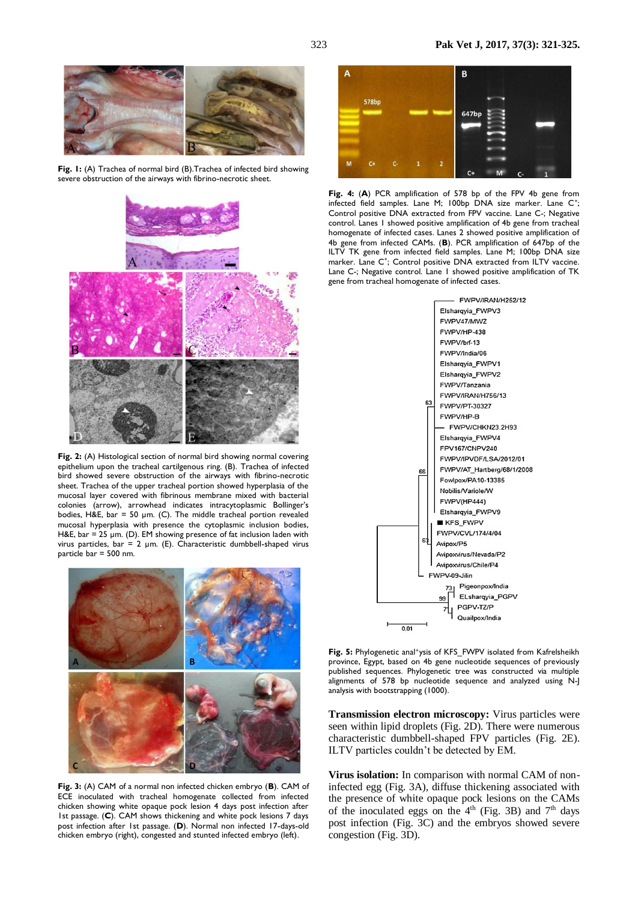

**Fig. 1:** (A) Trachea of normal bird (B).Trachea of infected bird showing severe obstruction of the airways with fibrino-necrotic sheet.



**Fig. 2:** (A) Histological section of normal bird showing normal covering epithelium upon the tracheal cartilgenous ring. (B). Trachea of infected bird showed severe obstruction of the airways with fibrino-necrotic sheet. Trachea of the upper tracheal portion showed hyperplasia of the mucosal layer covered with fibrinous membrane mixed with bacterial colonies (arrow), arrowhead indicates intracytoplasmic Bollinger's bodies, H&E, bar = 50  $\mu$ m. (C). The middle tracheal portion revealed mucosal hyperplasia with presence the cytoplasmic inclusion bodies, H&E, bar = 25  $\mu$ m. (D). EM showing presence of fat inclusion laden with virus particles, bar = 2 µm. (E). Characteristic dumbbell-shaped virus particle bar = 500 nm.



**Fig. 3:** (A) CAM of a normal non infected chicken embryo (**B**). CAM of ECE inoculated with tracheal homogenate collected from infected chicken showing white opaque pock lesion 4 days post infection after 1st passage. (**C**). CAM shows thickening and white pock lesions 7 days post infection after 1st passage. (**D**). Normal non infected 17-days-old chicken embryo (right), congested and stunted infected embryo (left).



**Fig. 4:** (**A**) PCR amplification of 578 bp of the FPV 4b gene from infected field samples. Lane M; 100bp DNA size marker. Lane C<sup>+</sup>; Control positive DNA extracted from FPV vaccine. Lane C-; Negative control. Lanes 1 showed positive amplification of 4b gene from tracheal homogenate of infected cases. Lanes 2 showed positive amplification of 4b gene from infected CAMs. (**B**). PCR amplification of 647bp of the ILTV TK gene from infected field samples. Lane M; 100bp DNA size marker. Lane C<sup>+</sup>; Control positive DNA extracted from ILTV vaccine. Lane C-; Negative control. Lane 1 showed positive amplification of TK gene from tracheal homogenate of infected cases.



Fig. 5: Phylogenetic anal<sup>+</sup>ysis of KFS\_FWPV isolated from Kafrelsheikh province, Egypt, based on 4b gene nucleotide sequences of previously published sequences. Phylogenetic tree was constructed via multiple alignments of 578 bp nucleotide sequence and analyzed using N-J analysis with bootstrapping (1000).

**Transmission electron microscopy:** Virus particles were seen within lipid droplets (Fig. 2D). There were numerous characteristic dumbbell-shaped FPV particles (Fig. 2E). ILTV particles couldn't be detected by EM.

**Virus isolation:** In comparison with normal CAM of noninfected egg (Fig. 3A), diffuse thickening associated with the presence of white opaque pock lesions on the CAMs of the inoculated eggs on the  $4<sup>th</sup>$  (Fig. 3B) and  $7<sup>th</sup>$  days post infection (Fig. 3C) and the embryos showed severe congestion (Fig. 3D).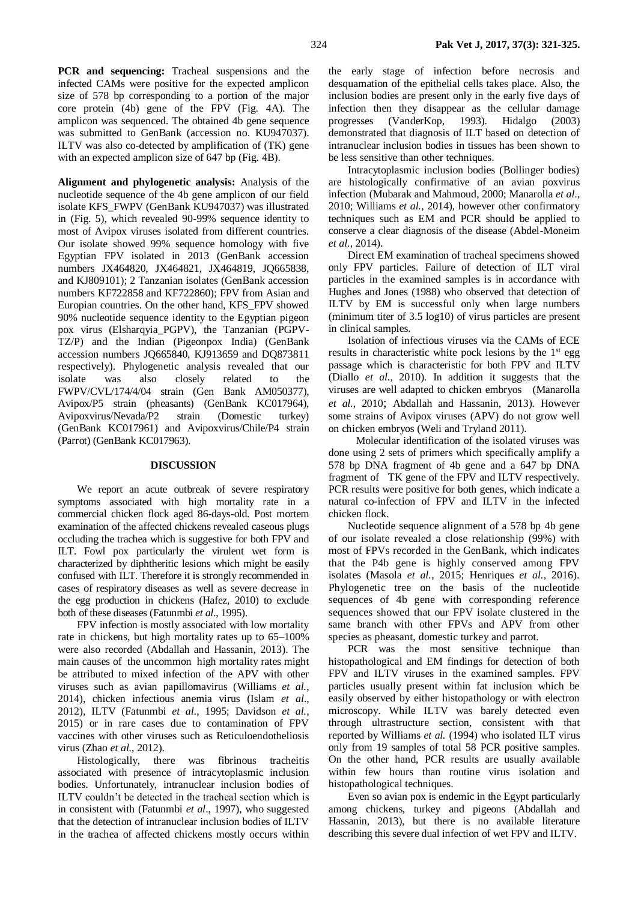**PCR** and sequencing: Tracheal suspensions and the infected CAMs were positive for the expected amplicon size of 578 bp corresponding to a portion of the major core protein (4b) gene of the FPV (Fig. 4A). The amplicon was sequenced. The obtained 4b gene sequence was submitted to GenBank (accession no. KU947037). ILTV was also co-detected by amplification of (TK) gene with an expected amplicon size of 647 bp (Fig. 4B).

**Alignment and phylogenetic analysis:** Analysis of the nucleotide sequence of the 4b gene amplicon of our field isolate KFS\_FWPV (GenBank KU947037) was illustrated in (Fig. 5), which revealed 90-99% sequence identity to most of Avipox viruses isolated from different countries. Our isolate showed 99% sequence homology with five Egyptian FPV isolated in 2013 (GenBank accession numbers JX464820, JX464821, JX464819, JQ665838, and KJ809101); 2 Tanzanian isolates (GenBank accession numbers KF722858 and KF722860); FPV from Asian and Europian countries. On the other hand, KFS\_FPV showed 90% nucleotide sequence identity to the Egyptian pigeon pox virus (Elsharqyia\_PGPV), the Tanzanian (PGPV-TZ/P) and the Indian (Pigeonpox India) (GenBank accession numbers JQ665840, KJ913659 and DQ873811 respectively). Phylogenetic analysis revealed that our isolate was also closely related to the FWPV/CVL/174/4/04 strain (Gen Bank AM050377), Avipox/P5 strain (pheasants) (GenBank KC017964), Avipoxvirus/Nevada/P2 strain (Domestic turkey) (GenBank KC017961) and Avipoxvirus/Chile/P4 strain (Parrot) (GenBank KC017963).

#### **DISCUSSION**

We report an acute outbreak of severe respiratory symptoms associated with high mortality rate in a commercial chicken flock aged 86-days-old. Post mortem examination of the affected chickens revealed caseous plugs occluding the trachea which is suggestive for both FPV and ILT. Fowl pox particularly the virulent wet form is characterized by diphtheritic lesions which might be easily confused with ILT. Therefore it is strongly recommended in cases of respiratory diseases as well as severe decrease in the egg production in chickens (Hafez, 2010) to exclude both of these diseases (Fatunmbi *et al*., 1995).

FPV infection is mostly associated with low mortality rate in chickens, but high mortality rates up to 65–100% were also recorded (Abdallah and Hassanin, 2013). The main causes of the uncommon high mortality rates might be attributed to mixed infection of the APV with other viruses such as avian papillomavirus (Williams *et al.*, 2014), chicken infectious anemia virus (Islam *et al*., 2012), ILTV (Fatunmbi *et al*., 1995; Davidson *et al.,* 2015) or in rare cases due to contamination of FPV vaccines with other viruses such as Reticuloendotheliosis virus (Zhao *et al.*, 2012).

Histologically, there was fibrinous tracheitis associated with presence of intracytoplasmic inclusion bodies. Unfortunately, intranuclear inclusion bodies of ILTV couldn't be detected in the tracheal section which is in consistent with (Fatunmbi *et al*., 1997), who suggested that the detection of intranuclear inclusion bodies of ILTV in the trachea of affected chickens mostly occurs within

the early stage of infection before necrosis and desquamation of the epithelial cells takes place. Also, the inclusion bodies are present only in the early five days of infection then they disappear as the cellular damage progresses (VanderKop, 1993). Hidalgo (2003) demonstrated that diagnosis of ILT based on detection of intranuclear inclusion bodies in tissues has been shown to be less sensitive than other techniques.

Intracytoplasmic inclusion bodies (Bollinger bodies) are histologically confirmative of an avian poxvirus infection (Mubarak and Mahmoud, 2000; Manarolla *et al*., 2010; Williams *et al.*, 2014), however other confirmatory techniques such as EM and PCR should be applied to conserve a clear diagnosis of the disease (Abdel-Moneim *et al.*, 2014).

Direct EM examination of tracheal specimens showed only FPV particles. Failure of detection of ILT viral particles in the examined samples is in accordance with Hughes and Jones (1988) who observed that detection of ILTV by EM is successful only when large numbers (minimum titer of 3.5 log10) of virus particles are present in clinical samples.

Isolation of infectious viruses via the CAMs of ECE results in characteristic white pock lesions by the  $1<sup>st</sup>$  egg passage which is characteristic for both FPV and ILTV (Diallo *et al.*, 2010). In addition it suggests that the viruses are well adapted to chicken embryos(Manarolla *et al.*, 2010; Abdallah and Hassanin, 2013). However some strains of Avipox viruses (APV) do not grow well on chicken embryos (Weli and Tryland 2011).

 Molecular identification of the isolated viruses was done using 2 sets of primers which specifically amplify a 578 bp DNA fragment of 4b gene and a 647 bp DNA fragment of TK gene of the FPV and ILTV respectively. PCR results were positive for both genes, which indicate a natural co-infection of FPV and ILTV in the infected chicken flock.

Nucleotide sequence alignment of a 578 bp 4b gene of our isolate revealed a close relationship (99%) with most of FPVs recorded in the GenBank, which indicates that the P4b gene is highly conserved among FPV isolates (Masola *et al.*, 2015; Henriques *et al.*, 2016). Phylogenetic tree on the basis of the nucleotide sequences of 4b gene with corresponding reference sequences showed that our FPV isolate clustered in the same branch with other FPVs and APV from other species as pheasant, domestic turkey and parrot.

PCR was the most sensitive technique than histopathological and EM findings for detection of both FPV and ILTV viruses in the examined samples. FPV particles usually present within fat inclusion which be easily observed by either histopathology or with electron microscopy. While ILTV was barely detected even through ultrastructure section, consistent with that reported by Williams *et al.* (1994) who isolated ILT virus only from 19 samples of total 58 PCR positive samples. On the other hand, PCR results are usually available within few hours than routine virus isolation and histopathological techniques.

Even so avian pox is endemic in the Egypt particularly among chickens, turkey and pigeons (Abdallah and Hassanin, 2013), but there is no available literature describing this severe dual infection of wet FPV and ILTV.